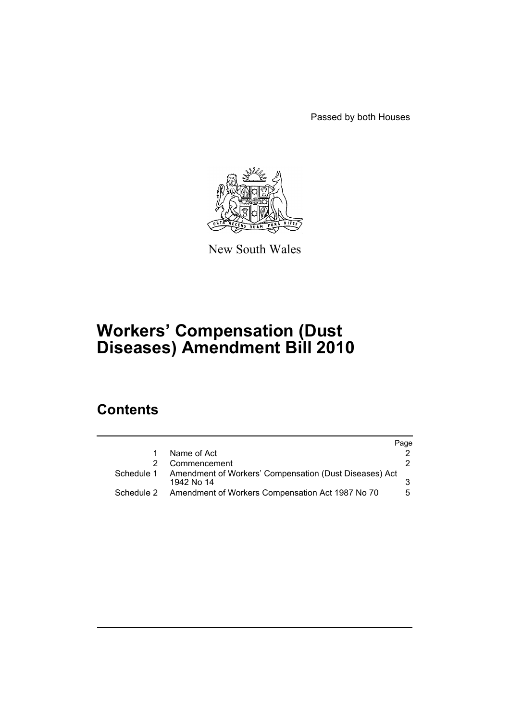Passed by both Houses



New South Wales

# **Workers' Compensation (Dust Diseases) Amendment Bill 2010**

## **Contents**

|            |                                                                      | Page |
|------------|----------------------------------------------------------------------|------|
|            | Name of Act                                                          |      |
|            | Commencement                                                         |      |
| Schedule 1 | Amendment of Workers' Compensation (Dust Diseases) Act<br>1942 No 14 |      |
|            | Schedule 2 Amendment of Workers Compensation Act 1987 No 70          | 5    |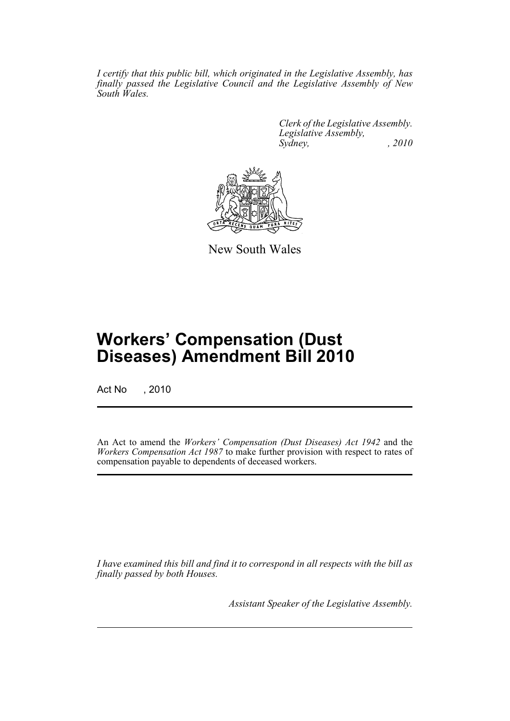*I certify that this public bill, which originated in the Legislative Assembly, has finally passed the Legislative Council and the Legislative Assembly of New South Wales.*

> *Clerk of the Legislative Assembly. Legislative Assembly, Sydney, , 2010*



New South Wales

## **Workers' Compensation (Dust Diseases) Amendment Bill 2010**

Act No , 2010

An Act to amend the *Workers' Compensation (Dust Diseases) Act 1942* and the *Workers Compensation Act 1987* to make further provision with respect to rates of compensation payable to dependents of deceased workers.

*I have examined this bill and find it to correspond in all respects with the bill as finally passed by both Houses.*

*Assistant Speaker of the Legislative Assembly.*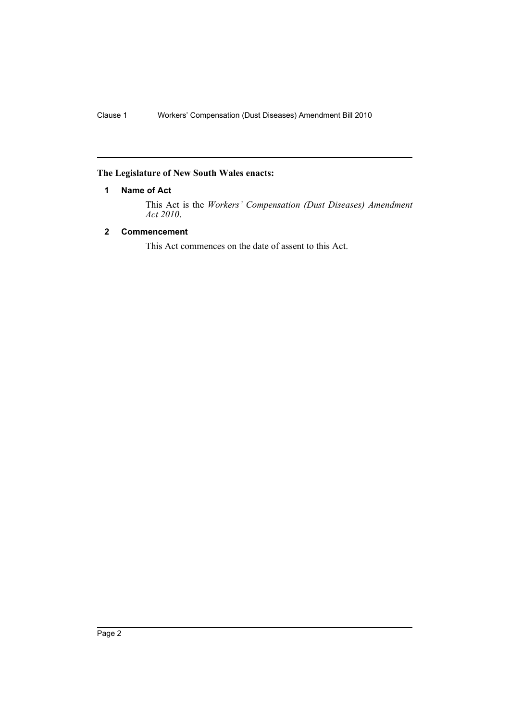### <span id="page-3-0"></span>**The Legislature of New South Wales enacts:**

#### **1 Name of Act**

This Act is the *Workers' Compensation (Dust Diseases) Amendment Act 2010*.

#### <span id="page-3-1"></span>**2 Commencement**

This Act commences on the date of assent to this Act.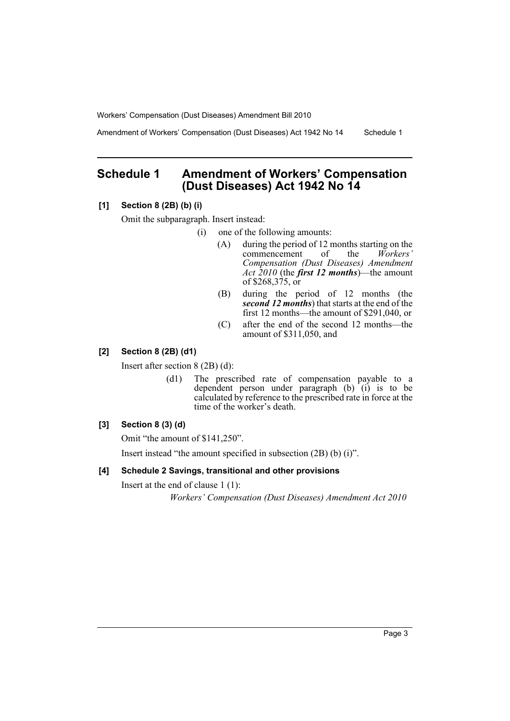Workers' Compensation (Dust Diseases) Amendment Bill 2010

Amendment of Workers' Compensation (Dust Diseases) Act 1942 No 14 Schedule 1

## <span id="page-4-0"></span>**Schedule 1 Amendment of Workers' Compensation (Dust Diseases) Act 1942 No 14**

#### **[1] Section 8 (2B) (b) (i)**

Omit the subparagraph. Insert instead:

- (i) one of the following amounts:
	- (A) during the period of 12 months starting on the commencement of the *Workers'* commencement of the *Compensation (Dust Diseases) Amendment Act 2010* (the *first 12 months*)—the amount of \$268,375, or
	- (B) during the period of 12 months (the *second 12 months*) that starts at the end of the first 12 months—the amount of \$291,040, or
	- (C) after the end of the second 12 months—the amount of \$311,050, and

#### **[2] Section 8 (2B) (d1)**

Insert after section 8 (2B) (d):

(d1) The prescribed rate of compensation payable to a dependent person under paragraph (b) (i) is to be calculated by reference to the prescribed rate in force at the time of the worker's death.

#### **[3] Section 8 (3) (d)**

Omit "the amount of \$141,250".

Insert instead "the amount specified in subsection (2B) (b) (i)".

#### **[4] Schedule 2 Savings, transitional and other provisions**

Insert at the end of clause 1 (1):

*Workers' Compensation (Dust Diseases) Amendment Act 2010*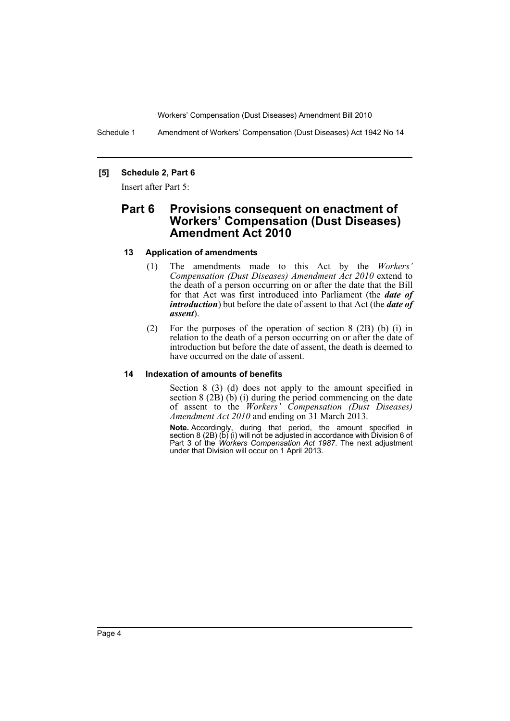Workers' Compensation (Dust Diseases) Amendment Bill 2010

Schedule 1 Amendment of Workers' Compensation (Dust Diseases) Act 1942 No 14

#### **[5] Schedule 2, Part 6**

Insert after Part 5:

### **Part 6 Provisions consequent on enactment of Workers' Compensation (Dust Diseases) Amendment Act 2010**

#### **13 Application of amendments**

- (1) The amendments made to this Act by the *Workers' Compensation (Dust Diseases) Amendment Act 2010* extend to the death of a person occurring on or after the date that the Bill for that Act was first introduced into Parliament (the *date of introduction*) but before the date of assent to that Act (the *date of assent*).
- (2) For the purposes of the operation of section 8 (2B) (b) (i) in relation to the death of a person occurring on or after the date of introduction but before the date of assent, the death is deemed to have occurred on the date of assent.

#### **14 lndexation of amounts of benefits**

Section 8 (3) (d) does not apply to the amount specified in section  $8(2B)(b)(i)$  during the period commencing on the date of assent to the *Workers' Compensation (Dust Diseases) Amendment Act 2010* and ending on 31 March 2013.

**Note.** Accordingly, during that period, the amount specified in section 8 (2B) (b) (i) will not be adjusted in accordance with Division 6 of Part 3 of the *Workers Compensation Act 1987*. The next adjustment under that Division will occur on 1 April 2013.